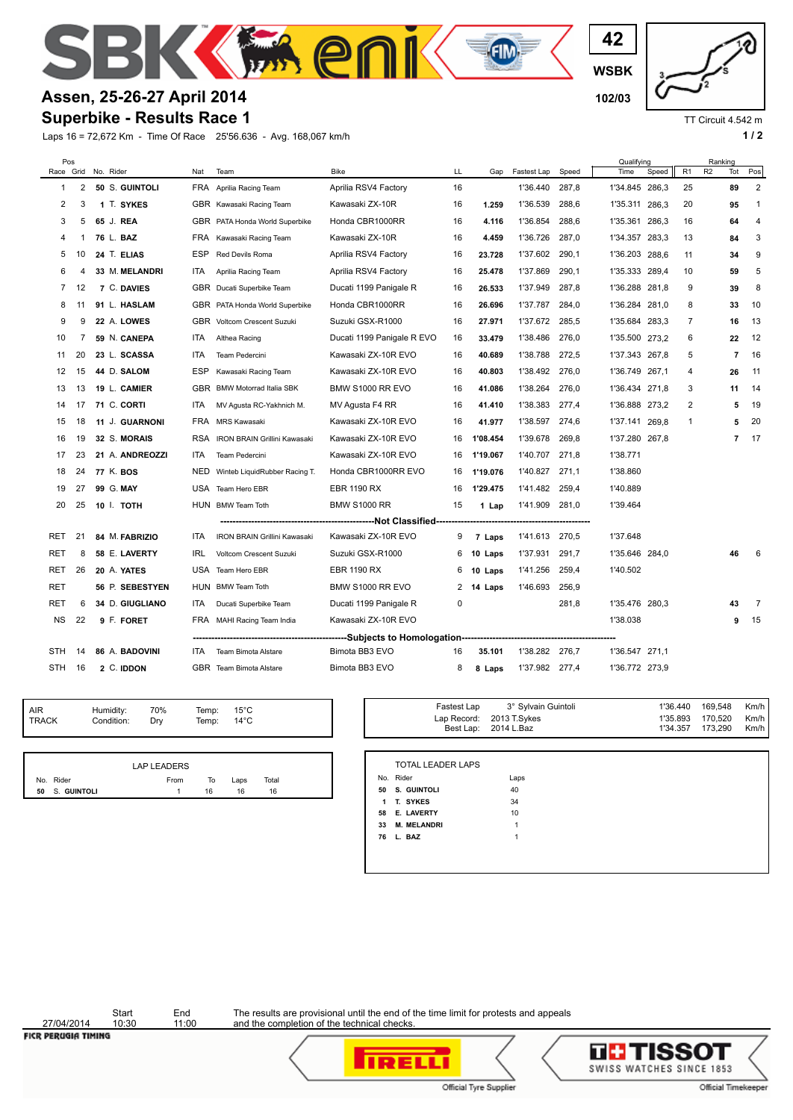

## **Assen, 25-26-27 April 2014 102/03**

## **Superbike - Results Race 1**

Laps 16 = 72,672 Km - Time Of Race 25'56.636 - Avg. 168,067 km/h **1 and 2 1 and 2 1 a 1 a 1 a 1 a 1 a 1 a 1 a 1 a 1 a 1 a 1 a 1 a 1 a 1 a 1 a 1 a 1 a 1 a 1 a 1 a 1 a 1 a 1 a** 

**WSBK 42**

TT Circuit 4.542 m

| Pos            |    |                 |            |                                     |                                  |    | Qualifying |                |       | Ranking        |       |                |                |                |                |
|----------------|----|-----------------|------------|-------------------------------------|----------------------------------|----|------------|----------------|-------|----------------|-------|----------------|----------------|----------------|----------------|
| Race Grid      |    | No. Rider       | Nat        | Team                                | <b>Bike</b>                      | LL | Gap        | Fastest Lap    | Speed | Time           | Speed | R <sub>1</sub> | R <sub>2</sub> | Tot            | Pos            |
| 1              | 2  | 50 S. GUINTOLI  | FRA        | Aprilia Racing Team                 | Aprilia RSV4 Factory             | 16 |            | 1'36.440       | 287,8 | 1'34.845 286,3 |       | 25             |                | 89             | $\overline{2}$ |
| $\overline{2}$ | 3  | 1 T. SYKES      |            | GBR Kawasaki Racing Team            | Kawasaki ZX-10R                  | 16 | 1.259      | 1'36.539       | 288.6 | 1'35.311 286.3 |       | 20             |                | 95             | $\mathbf{1}$   |
| 3              | 5  | 65 J. REA       |            | GBR PATA Honda World Superbike      | Honda CBR1000RR                  | 16 | 4.116      | 1'36.854       | 288.6 | 1'35.361 286.3 |       | 16             |                | 64             | $\overline{4}$ |
| 4              | 1  | 76 L. BAZ       | FRA        | Kawasaki Racing Team                | Kawasaki ZX-10R                  | 16 | 4.459      | 1'36.726       | 287,0 | 1'34.357       | 283,3 | 13             |                | 84             | 3              |
| 5              | 10 | 24 T. ELIAS     | <b>ESP</b> | Red Devils Roma                     | Aprilia RSV4 Factory             | 16 | 23.728     | 1'37.602       | 290,1 | 1'36.203 288,6 |       | 11             |                | 34             | 9              |
| 6              |    | 33 M. MELANDRI  | ITA        | Aprilia Racing Team                 | Aprilia RSV4 Factory             | 16 | 25.478     | 1'37.869       | 290,1 | 1'35.333 289,4 |       | 10             |                | 59             | 5              |
| $\overline{7}$ | 12 | 7 C. DAVIES     | GBR        | Ducati Superbike Team               | Ducati 1199 Panigale R           | 16 | 26.533     | 1'37.949       | 287.8 | 1'36.288 281,8 |       | 9              |                | 39             | 8              |
| 8              | 11 | 91 L. HASLAM    |            | GBR PATA Honda World Superbike      | Honda CBR1000RR                  | 16 | 26.696     | 1'37.787       | 284,0 | 1'36.284 281,0 |       | 8              |                | 33             | 10             |
| 9              | 9  | 22 A. LOWES     | <b>GBR</b> | Voltcom Crescent Suzuki             | Suzuki GSX-R1000                 | 16 | 27.971     | 1'37.672       | 285.5 | 1'35.684 283,3 |       | $\overline{7}$ |                | 16             | 13             |
| 10             | 7  | 59 N. CANEPA    | <b>ITA</b> | Althea Racing                       | Ducati 1199 Panigale R EVO       | 16 | 33.479     | 1'38.486       | 276,0 | 1'35.500 273,2 |       | 6              |                | 22             | 12             |
| 11             | 20 | 23 L. SCASSA    | <b>ITA</b> | Team Pedercini                      | Kawasaki ZX-10R EVO              | 16 | 40.689     | 1'38.788       | 272.5 | 1'37.343 267,8 |       | 5              |                | $\overline{7}$ | 16             |
| 12             | 15 | 44 D. SALOM     | <b>ESP</b> | Kawasaki Racing Team                | Kawasaki ZX-10R EVO              | 16 | 40.803     | 1'38.492       | 276.0 | 1'36.749 267,1 |       | 4              |                | 26             | 11             |
| 13             | 13 | 19 L. CAMIER    | GBR        | <b>BMW Motorrad Italia SBK</b>      | BMW S1000 RR EVO                 | 16 | 41.086     | 1'38.264       | 276,0 | 1'36.434 271,8 |       | 3              |                | 11             | 14             |
| 14             | 17 | 71 C. CORTI     | ITA        | MV Agusta RC-Yakhnich M.            | MV Agusta F4 RR                  | 16 | 41.410     | 1'38.383       | 277,4 | 1'36.888 273,2 |       | 2              |                | 5              | 19             |
| 15             | 18 | 11 J. GUARNONI  | FRA        | <b>MRS Kawasaki</b>                 | Kawasaki ZX-10R EVO              | 16 | 41.977     | 1'38.597       | 274,6 | 1'37.141 269,8 |       | $\mathbf{1}$   |                | 5              | 20             |
| 16             | 19 | 32 S. MORAIS    | <b>RSA</b> | <b>IRON BRAIN Grillini Kawasaki</b> | Kawasaki ZX-10R EVO              | 16 | 1'08.454   | 1'39.678       | 269,8 | 1'37.280 267,8 |       |                |                | $\overline{7}$ | 17             |
| 17             | 23 | 21 A. ANDREOZZI | ITA        | Team Pedercini                      | Kawasaki ZX-10R EVO              | 16 | 1'19.067   | 1'40.707       | 271,8 | 1'38.771       |       |                |                |                |                |
| 18             | 24 | 77 K. BOS       | NED        | Winteb LiquidRubber Racing T.       | Honda CBR1000RR EVO              | 16 | 1'19.076   | 1'40.827       | 271,1 | 1'38.860       |       |                |                |                |                |
| 19             | 27 | 99 G. MAY       | USA        | Team Hero EBR                       | <b>EBR 1190 RX</b>               | 16 | 1'29.475   | 1'41.482       | 259,4 | 1'40.889       |       |                |                |                |                |
| 20             | 25 | 10 I. TOTH      |            | HUN BMW Team Toth                   | <b>BMW S1000 RR</b>              | 15 | 1 Lap      | 1'41.909 281,0 |       | 1'39.464       |       |                |                |                |                |
|                |    |                 |            |                                     | ----------------Not Classified-- |    |            |                |       |                |       |                |                |                |                |
| RET            | 21 | 84 M. FABRIZIO  | <b>ITA</b> | <b>IRON BRAIN Grillini Kawasaki</b> | Kawasaki ZX-10R EVO              | 9  | 7 Laps     | 1'41.613 270,5 |       | 1'37.648       |       |                |                |                |                |
| <b>RET</b>     | 8  | 58 E. LAVERTY   | <b>IRL</b> | <b>Voltcom Crescent Suzuki</b>      | Suzuki GSX-R1000                 | 6  | 10 Laps    | 1'37.931       | 291.7 | 1'35.646 284.0 |       |                |                | 46             | 6              |
| <b>RET</b>     | 26 | 20 A. YATES     | USA        | Team Hero EBR                       | <b>EBR 1190 RX</b>               | 6  | 10 Laps    | 1'41.256       | 259.4 | 1'40.502       |       |                |                |                |                |
| RET            |    | 56 P. SEBESTYEN |            | HUN BMW Team Toth                   | BMW S1000 RR EVO                 | 2  | 14 Laps    | 1'46.693       | 256,9 |                |       |                |                |                |                |
| RET            | 6  | 34 D. GIUGLIANO | ITA        | Ducati Superbike Team               | Ducati 1199 Panigale R           | 0  |            |                | 281,8 | 1'35.476 280,3 |       |                |                | 43             | $\overline{7}$ |
| NS.            | 22 | 9 F. FORET      | FRA        | MAHI Racing Team India              | Kawasaki ZX-10R EVO              |    |            |                |       | 1'38.038       |       |                |                | 9              | 15             |
|                |    |                 |            |                                     |                                  |    |            |                |       |                |       |                |                |                |                |
| STH            | 14 | 86 A. BADOVINI  | <b>ITA</b> | <b>Team Bimota Alstare</b>          | Bimota BB3 EVO                   | 16 | 35.101     | 1'38.282 276,7 |       | 1'36.547 271,1 |       |                |                |                |                |
| STH            | 16 | 2 C. IDDON      |            | GBR Team Bimota Alstare             | Bimota BB3 EVO                   | 8  | 8 Laps     | 1'37.982 277,4 |       | 1'36.772 273,9 |       |                |                |                |                |
|                |    |                 |            |                                     |                                  |    |            |                |       |                |       |                |                |                |                |

TRACK Condition: Dry AIR Humidity:<br>TRACK Condition 70% Temp: 15°C 14°C

|    |             | LAP LEADERS |    |      |       |
|----|-------------|-------------|----|------|-------|
|    | No. Rider   | From        | То | Laps | Total |
| 50 | s. Guintoli |             | 16 | 16   | 16    |

| ivilip.<br>Temp: | 1 U U<br>$14^{\circ}$ C |       |    |                          | Lap Record: 2013 T.Sykes<br>Best Lap: 2014 L.Baz | 1'35.893<br>1'34.357 | 170,520<br>173,290 | Km/h<br>Km/h |
|------------------|-------------------------|-------|----|--------------------------|--------------------------------------------------|----------------------|--------------------|--------------|
|                  |                         |       |    |                          |                                                  |                      |                    |              |
|                  |                         |       |    | <b>TOTAL LEADER LAPS</b> |                                                  |                      |                    |              |
| To               | Laps                    | Total |    | No. Rider                | Laps                                             |                      |                    |              |
| 16               | 16                      | 16    |    | 50 S. GUINTOLI           | 40                                               |                      |                    |              |
|                  |                         |       |    | 1 T. SYKES               | 34                                               |                      |                    |              |
|                  |                         |       |    | 58 E. LAVERTY            | 10                                               |                      |                    |              |
|                  |                         |       | 33 | <b>M. MELANDRI</b>       |                                                  |                      |                    |              |

Fastest Lap 3° Sylvain Guintoli 1'36.440 169,548 Km/h

27/04/2014<br>FICR PERUGIA TIMING

Start End<br>10:30 11:00

The results are provisional until the end of the time limit for protests and appeals and the completion of the technical checks.





 **76 L. BAZ** 1